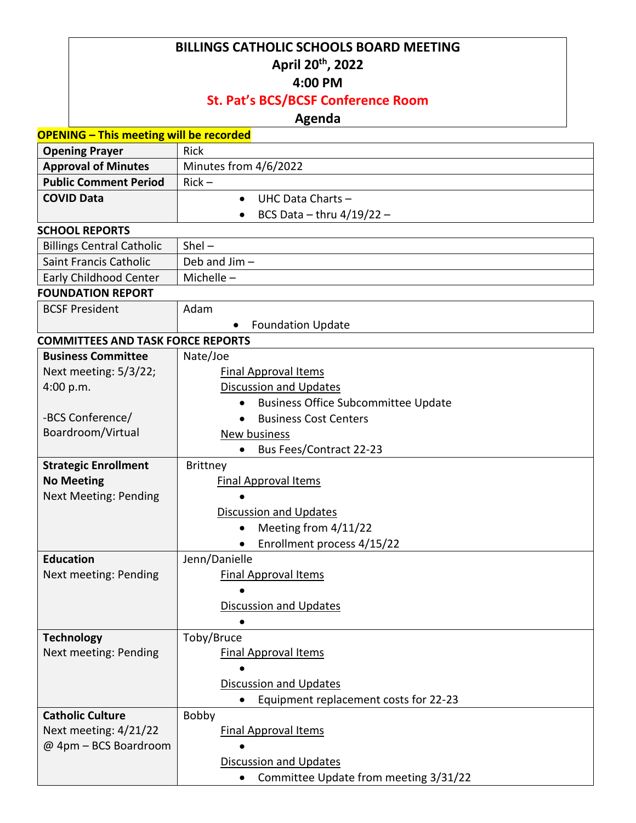# **BILLINGS CATHOLIC SCHOOLS BOARD MEETING April 20th , 2022**

#### **4:00 PM**

## **St. Pat's BCS/BCSF Conference Room**

## **Agenda**

| <b>OPENING - This meeting will be recorded</b> |                                                         |
|------------------------------------------------|---------------------------------------------------------|
| <b>Opening Prayer</b>                          | <b>Rick</b>                                             |
| <b>Approval of Minutes</b>                     | Minutes from 4/6/2022                                   |
| <b>Public Comment Period</b>                   | $Rick -$                                                |
| <b>COVID Data</b>                              | UHC Data Charts -<br>$\bullet$                          |
|                                                | BCS Data - thru $4/19/22$ -<br>$\bullet$                |
| <b>SCHOOL REPORTS</b>                          |                                                         |
| <b>Billings Central Catholic</b>               | $Shel -$                                                |
| <b>Saint Francis Catholic</b>                  | Deb and Jim-                                            |
| <b>Early Childhood Center</b>                  | Michelle-                                               |
| <b>FOUNDATION REPORT</b>                       |                                                         |
| <b>BCSF President</b>                          | Adam                                                    |
|                                                | <b>Foundation Update</b>                                |
| <b>COMMITTEES AND TASK FORCE REPORTS</b>       |                                                         |
| <b>Business Committee</b>                      | Nate/Joe                                                |
| Next meeting: 5/3/22;                          | <b>Final Approval Items</b>                             |
| 4:00 p.m.                                      | <b>Discussion and Updates</b>                           |
|                                                | <b>Business Office Subcommittee Update</b><br>$\bullet$ |
| -BCS Conference/                               | <b>Business Cost Centers</b>                            |
| Boardroom/Virtual                              | New business                                            |
|                                                | Bus Fees/Contract 22-23                                 |
| <b>Strategic Enrollment</b>                    | Brittney                                                |
| <b>No Meeting</b>                              | <b>Final Approval Items</b>                             |
| <b>Next Meeting: Pending</b>                   |                                                         |
|                                                | <b>Discussion and Updates</b>                           |
|                                                | Meeting from 4/11/22<br>$\bullet$                       |
|                                                | Enrollment process 4/15/22                              |
| <b>Education</b>                               | Jenn/Danielle                                           |
| Next meeting: Pending                          | <b>Final Approval Items</b>                             |
|                                                |                                                         |
|                                                | <b>Discussion and Updates</b>                           |
|                                                |                                                         |
| <b>Technology</b>                              | Toby/Bruce                                              |
| Next meeting: Pending                          | <b>Final Approval Items</b>                             |
|                                                |                                                         |
|                                                | <b>Discussion and Updates</b>                           |
|                                                | Equipment replacement costs for 22-23                   |
| <b>Catholic Culture</b>                        | Bobby                                                   |
| Next meeting: 4/21/22                          | <b>Final Approval Items</b>                             |
| @ 4pm - BCS Boardroom                          |                                                         |
|                                                | <b>Discussion and Updates</b>                           |
|                                                | Committee Update from meeting 3/31/22                   |